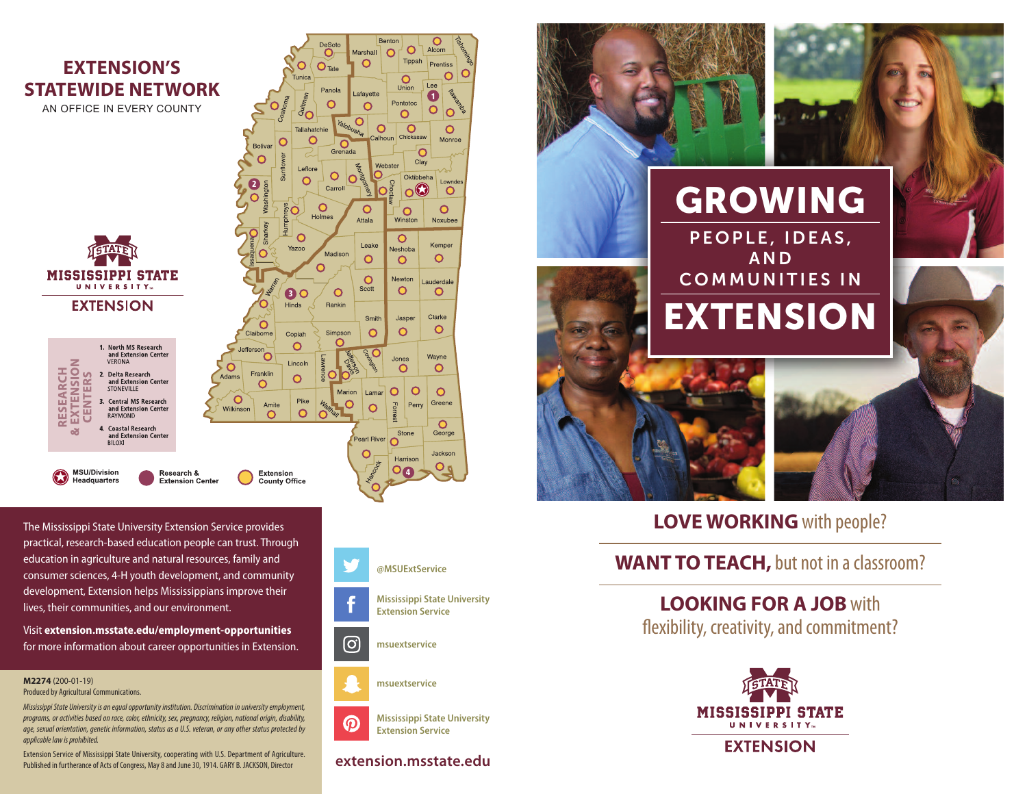

The Mississippi State University Extension Service provides practical, research-based education people can trust. Through education in agriculture and natural resources, family and consumer sciences, 4-H youth development, and community development, Extension helps Mississippians improve their lives, their communities, and our environment.

Visit **extension.msstate.edu/employment-opportunities** for more information about career opportunities in Extension.

**M2274** (200-01-19)

Produced by Agricultural Communications.

*MississippiState Universityisanequalopportunityinstitution. Discriminationinuniversityemployment, programs,oractivitiesbasedonrace, color, ethnicity, sex,pregnancy, religion,nationalorigin,disability, age, sexual orientation, genetic information, status as a U.S. veteran, or any other statusprotectedby applicable law is prohibited.* 

Extension Service of Mississippi State University, cooperating with U.S. Department of Agriculture. Published in furtherance of Acts of Congress, May 8 and June 30, 1914. GARY B. JACKSON, Director



 $\cap$ 

Prentiss

 $\overline{O}$ 

 $\circ$ 

Monroe

ownde

 $\circ$ 

 $\Omega$ 

Noxubee

Kemper

 $\circ$ 

 $\circ$ 

 $\circ$ 

 $\circ$ 

 $\circ$ 

Greene

 $\overline{O}$ 

George

| O  $\circ$ 



**Mississippi State University**  $\boldsymbol{\Omega}$ **Extension Service**

## **extension.msstate.edu**



## **LOVE WORKING** with people?

## **WANT TO TEACH,** but not in a classroom?

**LOOKING FOR A JOB** with flexibility, creativity, and commitment?